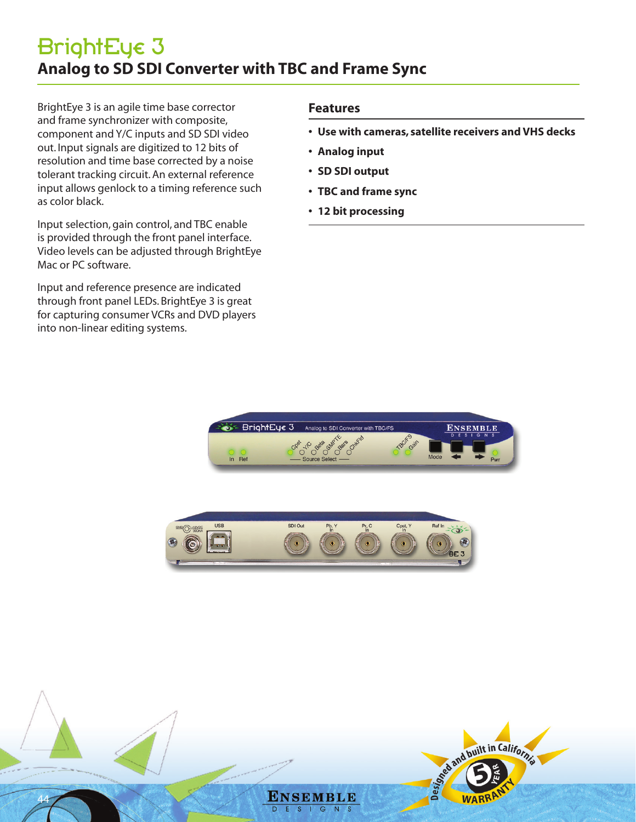BrightEye 3 is an agile time base corrector and frame synchronizer with composite, component and Y/C inputs and SD SDI video out. Input signals are digitized to 12 bits of resolution and time base corrected by a noise tolerant tracking circuit. An external reference input allows genlock to a timing reference such as color black.

Input selection, gain control, and TBC enable is provided through the front panel interface. Video levels can be adjusted through BrightEye Mac or PC software.

Input and reference presence are indicated through front panel LEDs. BrightEye 3 is great for capturing consumer VCRs and DVD players into non-linear editing systems.

## **Features**

- **• Use with cameras, satellite receivers and VHS decks**
- **• Analog input**
- **• SD SDI output**
- **• TBC and frame sync**
- **• 12 bit processing**